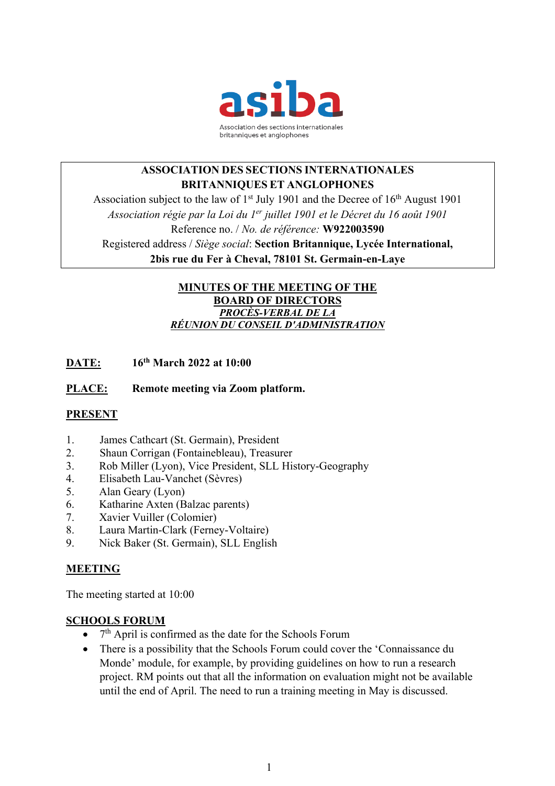

# **ASSOCIATION DES SECTIONS INTERNATIONALES BRITANNIQUES ET ANGLOPHONES**

Association subject to the law of  $1<sup>st</sup>$  July 1901 and the Decree of  $16<sup>th</sup>$  August 1901 *Association régie par la Loi du 1er juillet 1901 et le Décret du 16 août 1901* Reference no. / *No. de référence:* **W922003590** Registered address / *Siège social*: **Section Britannique, Lycée International, 2bis rue du Fer à Cheval, 78101 St. Germain-en-Laye**

### **MINUTES OF THE MEETING OF THE BOARD OF DIRECTORS** *PROCÈS-VERBAL DE LA RÉUNION DU CONSEIL D'ADMINISTRATION*

**DATE: 16th March 2022 at 10:00**

### **PLACE: Remote meeting via Zoom platform.**

#### **PRESENT**

- 1. James Cathcart (St. Germain), President
- 2. Shaun Corrigan (Fontainebleau), Treasurer
- 3. Rob Miller (Lyon), Vice President, SLL History-Geography
- 4. Elisabeth Lau-Vanchet (Sèvres)
- 5. Alan Geary (Lyon)
- 6. Katharine Axten (Balzac parents)
- 7. Xavier Vuiller (Colomier)
- 8. Laura Martin-Clark (Ferney-Voltaire)
- 9. Nick Baker (St. Germain), SLL English

#### **MEETING**

The meeting started at 10:00

#### **SCHOOLS FORUM**

- $\bullet$  7<sup>th</sup> April is confirmed as the date for the Schools Forum
- There is a possibility that the Schools Forum could cover the 'Connaissance du Monde' module, for example, by providing guidelines on how to run a research project. RM points out that all the information on evaluation might not be available until the end of April. The need to run a training meeting in May is discussed.